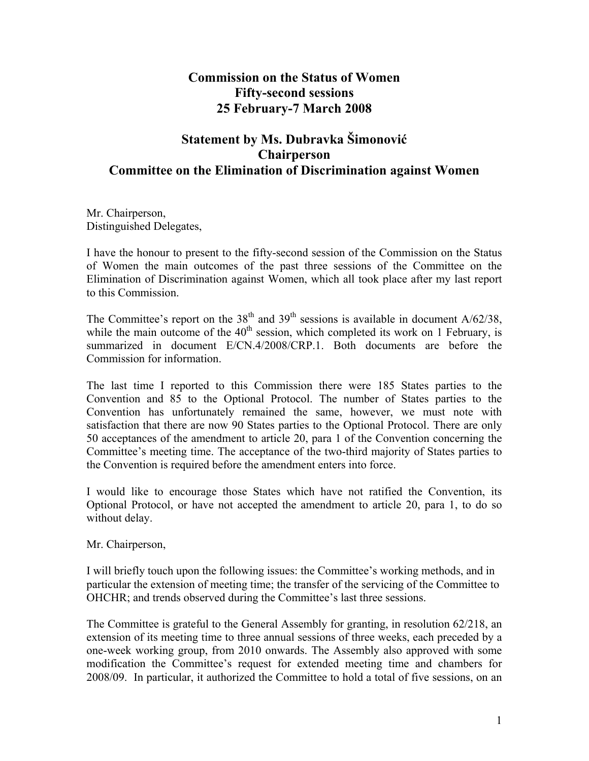## **Commission on the Status of Women Fifty-second sessions 25 February-7 March 2008**

## **Statement by Ms. Dubravka Šimonović Chairperson Committee on the Elimination of Discrimination against Women**

Mr. Chairperson, Distinguished Delegates,

I have the honour to present to the fifty-second session of the Commission on the Status of Women the main outcomes of the past three sessions of the Committee on the Elimination of Discrimination against Women, which all took place after my last report to this Commission.

The Committee's report on the 38<sup>th</sup> and 39<sup>th</sup> sessions is available in document  $A/62/38$ , while the main outcome of the  $40<sup>th</sup>$  session, which completed its work on 1 February, is summarized in document E/CN.4/2008/CRP.1. Both documents are before the Commission for information.

The last time I reported to this Commission there were 185 States parties to the Convention and 85 to the Optional Protocol. The number of States parties to the Convention has unfortunately remained the same, however, we must note with satisfaction that there are now 90 States parties to the Optional Protocol. There are only 50 acceptances of the amendment to article 20, para 1 of the Convention concerning the Committee's meeting time. The acceptance of the two-third majority of States parties to the Convention is required before the amendment enters into force.

I would like to encourage those States which have not ratified the Convention, its Optional Protocol, or have not accepted the amendment to article 20, para 1, to do so without delay.

Mr. Chairperson,

I will briefly touch upon the following issues: the Committee's working methods, and in particular the extension of meeting time; the transfer of the servicing of the Committee to OHCHR; and trends observed during the Committee's last three sessions.

The Committee is grateful to the General Assembly for granting, in resolution 62/218, an extension of its meeting time to three annual sessions of three weeks, each preceded by a one-week working group, from 2010 onwards. The Assembly also approved with some modification the Committee's request for extended meeting time and chambers for 2008/09. In particular, it authorized the Committee to hold a total of five sessions, on an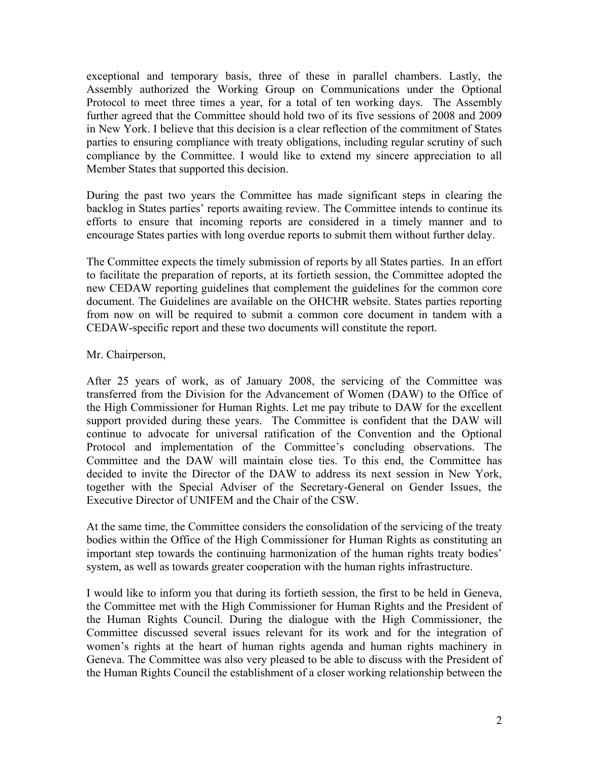exceptional and temporary basis, three of these in parallel chambers. Lastly, the Assembly authorized the Working Group on Communications under the Optional Protocol to meet three times a year, for a total of ten working days. The Assembly further agreed that the Committee should hold two of its five sessions of 2008 and 2009 in New York. I believe that this decision is a clear reflection of the commitment of States parties to ensuring compliance with treaty obligations, including regular scrutiny of such compliance by the Committee. I would like to extend my sincere appreciation to all Member States that supported this decision.

During the past two years the Committee has made significant steps in clearing the backlog in States parties' reports awaiting review. The Committee intends to continue its efforts to ensure that incoming reports are considered in a timely manner and to encourage States parties with long overdue reports to submit them without further delay.

The Committee expects the timely submission of reports by all States parties. In an effort to facilitate the preparation of reports, at its fortieth session, the Committee adopted the new CEDAW reporting guidelines that complement the guidelines for the common core document. The Guidelines are available on the OHCHR website. States parties reporting from now on will be required to submit a common core document in tandem with a CEDAW-specific report and these two documents will constitute the report.

## Mr. Chairperson,

After 25 years of work, as of January 2008, the servicing of the Committee was transferred from the Division for the Advancement of Women (DAW) to the Office of the High Commissioner for Human Rights. Let me pay tribute to DAW for the excellent support provided during these years. The Committee is confident that the DAW will continue to advocate for universal ratification of the Convention and the Optional Protocol and implementation of the Committee's concluding observations. The Committee and the DAW will maintain close ties. To this end, the Committee has decided to invite the Director of the DAW to address its next session in New York, together with the Special Adviser of the Secretary-General on Gender Issues, the Executive Director of UNIFEM and the Chair of the CSW.

At the same time, the Committee considers the consolidation of the servicing of the treaty bodies within the Office of the High Commissioner for Human Rights as constituting an important step towards the continuing harmonization of the human rights treaty bodies' system, as well as towards greater cooperation with the human rights infrastructure.

I would like to inform you that during its fortieth session, the first to be held in Geneva, the Committee met with the High Commissioner for Human Rights and the President of the Human Rights Council. During the dialogue with the High Commissioner, the Committee discussed several issues relevant for its work and for the integration of women's rights at the heart of human rights agenda and human rights machinery in Geneva. The Committee was also very pleased to be able to discuss with the President of the Human Rights Council the establishment of a closer working relationship between the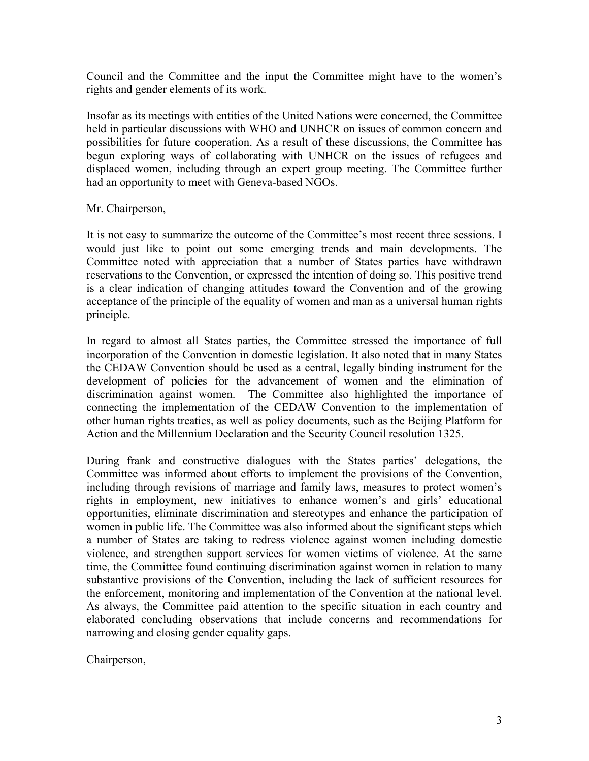Council and the Committee and the input the Committee might have to the women's rights and gender elements of its work.

Insofar as its meetings with entities of the United Nations were concerned, the Committee held in particular discussions with WHO and UNHCR on issues of common concern and possibilities for future cooperation. As a result of these discussions, the Committee has begun exploring ways of collaborating with UNHCR on the issues of refugees and displaced women, including through an expert group meeting. The Committee further had an opportunity to meet with Geneva-based NGOs.

## Mr. Chairperson,

It is not easy to summarize the outcome of the Committee's most recent three sessions. I would just like to point out some emerging trends and main developments. The Committee noted with appreciation that a number of States parties have withdrawn reservations to the Convention, or expressed the intention of doing so. This positive trend is a clear indication of changing attitudes toward the Convention and of the growing acceptance of the principle of the equality of women and man as a universal human rights principle.

In regard to almost all States parties, the Committee stressed the importance of full incorporation of the Convention in domestic legislation. It also noted that in many States the CEDAW Convention should be used as a central, legally binding instrument for the development of policies for the advancement of women and the elimination of discrimination against women. The Committee also highlighted the importance of connecting the implementation of the CEDAW Convention to the implementation of other human rights treaties, as well as policy documents, such as the Beijing Platform for Action and the Millennium Declaration and the Security Council resolution 1325.

During frank and constructive dialogues with the States parties' delegations, the Committee was informed about efforts to implement the provisions of the Convention, including through revisions of marriage and family laws, measures to protect women's rights in employment, new initiatives to enhance women's and girls' educational opportunities, eliminate discrimination and stereotypes and enhance the participation of women in public life. The Committee was also informed about the significant steps which a number of States are taking to redress violence against women including domestic violence, and strengthen support services for women victims of violence. At the same time, the Committee found continuing discrimination against women in relation to many substantive provisions of the Convention, including the lack of sufficient resources for the enforcement, monitoring and implementation of the Convention at the national level. As always, the Committee paid attention to the specific situation in each country and elaborated concluding observations that include concerns and recommendations for narrowing and closing gender equality gaps.

Chairperson,